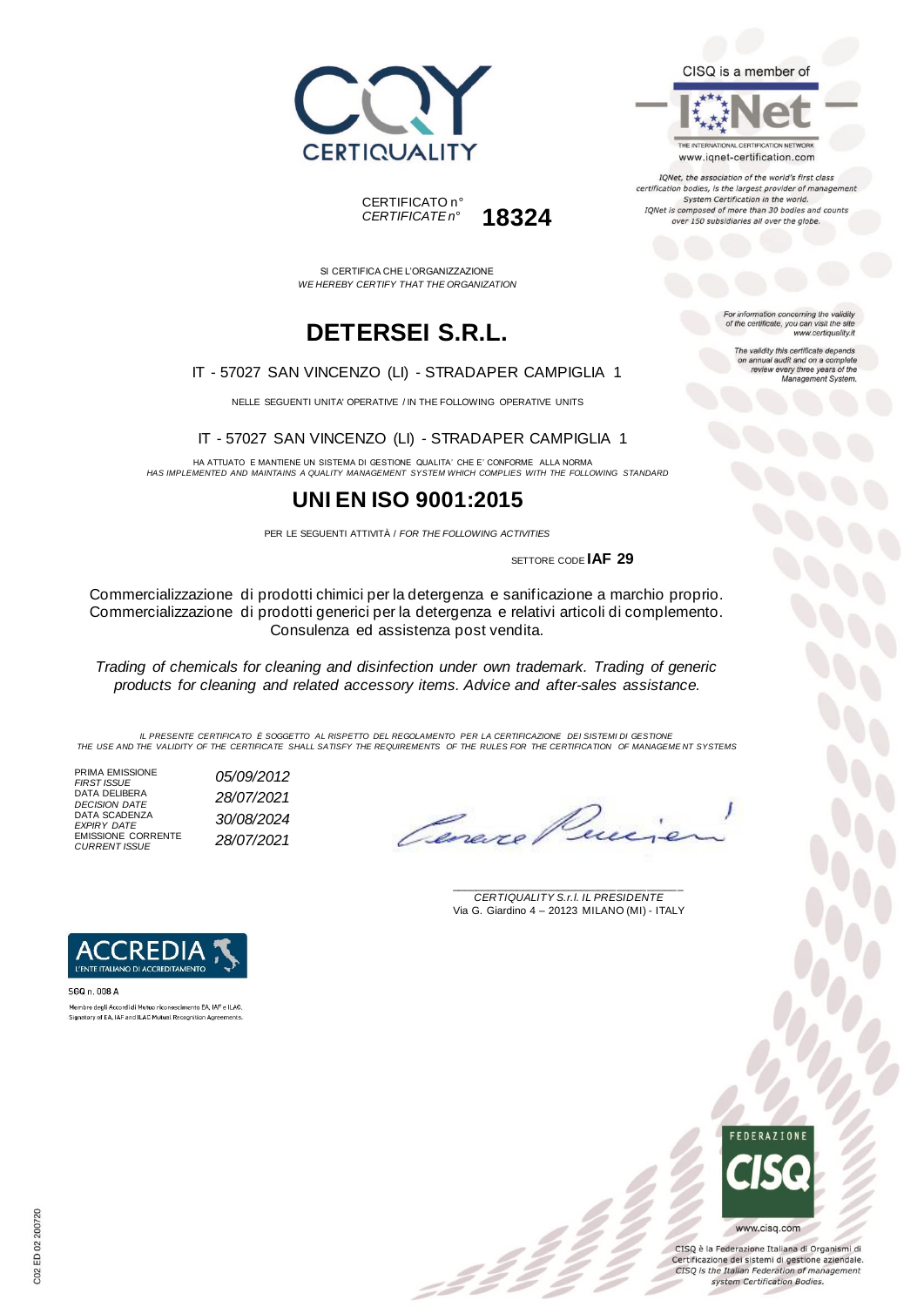





CISQ is a member of

IQNet, the association of the world's first class certification bodies, is the largest provider of management System Certification in the world. IQNet is composed of more than 30 bodies and counts over 150 subsidiaries all over the globe.

SI CERTIFICA CHE L'ORGANIZZAZIONE *WE HEREBY CERTIFY THAT THE ORGANIZATION*

CERTIFICATO n°

*CERTIFICATE n°* **18324**

# **DETERSEI S.R.L.**

#### IT - 57027 SAN VINCENZO (LI) - STRADAPER CAMPIGLIA 1

NELLE SEGUENTI UNITA' OPERATIVE / IN THE FOLLOWING OPERATIVE UNITS

IT - 57027 SAN VINCENZO (LI) - STRADAPER CAMPIGLIA 1

HA ATTUATO E MANTIENE UN SISTEMA DI GESTIONE QUALITA' CHE E' CONFORME ALLA NORMA *HAS IMPLEMENTED AND MAINTAINS A QUALITY MANAGEMENT SYSTEM WHICH COMPLIES WITH THE FOLLOWING STANDARD*

## **UNI EN ISO 9001:2015**

PER LE SEGUENTI ATTIVITÀ / *FOR THE FOLLOWING ACTIVITIES*

SETTORE CODE **IAF 29**

Commercializzazione di prodotti chimici per la detergenza e sanificazione a marchio proprio. Commercializzazione di prodotti generici per la detergenza e relativi articoli di complemento. Consulenza ed assistenza post vendita.

*Trading of chemicals for cleaning and disinfection under own trademark. Trading of generic products for cleaning and related accessory items. Advice and after-sales assistance.*

*IL PRESENTE CERTIFICATO È SOGGETTO AL RISPETTO DEL REGOLAMENTO PER LA CERTIFICAZIONE DEI SISTEMI DI GESTIONE THE USE AND THE VALIDITY OF THE CERTIFICATE SHALL SATISFY THE REQUIREMENTS OF THE RULES FOR THE CERTIFICATION OF MANAGEME NT SYSTEMS*

PRIMA EMISSIONE *FIRST ISSUE 05/09/2012* DATA DELIBERA *DECISION DATE 28/07/2021* DATA SCADENZA *EXPIRY DATE 30/08/2024* EMISSIONE CORRENTE *CURRENT ISSUE 28/07/2021*

Canero

\_\_\_\_\_\_\_\_\_\_\_\_\_\_\_\_\_\_\_\_\_\_\_\_\_\_\_\_\_\_\_\_\_\_\_\_\_\_\_ *CERTIQUALITY S.r.l. IL PRESIDENTE* Via G. Giardino 4 – 20123 MILANO (MI) - ITALY



Signatory of EA, IAF and ILAC Mutual Recognition Agreements.

SGQ n. 008 A Membro degli Accordi di Mutuo riconoscimento EA, IAF e ILAC

> **FFDFRATIONS** www.cisq.com

CISQ è la Federazione Italiana di Organismi di Certificazione dei sistemi di gestione aziendale. CISQ is the Italian Federation of management system Certification Bodies.

For information concerning the validity<br>of the certificate, you can visit the site www.certiquality.it

The validity this certificate depends on annual audit and on a complete<br>review every three years of the<br>Management System.